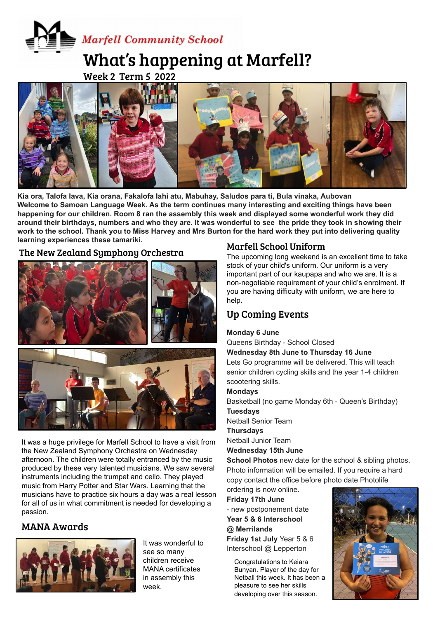# **Marfell Community School** What's happening at Marfell?

Week 2 Term 5 2022



**Ms Kerry Gibbons Enrichment - Ready Steady Cook Kia ora, Talofa lava, Kia orana, Fakalofa lahi atu, Mabuhay, Saludos para ti, Bula vinaka, Aubovan Welcome to Samoan Language Week. As the term continues many interesting and exciting things have been happening for our children. Room 8 ran the assembly this week and displayed some wonderful work they did around their birthdays, numbers and who they are. It was wonderful to see the pride they took in showing their work to the school. Thank you to Miss Harvey and Mrs Burton for the hard work they put into delivering quality learning experiences these tamariki.**

The New Zealand Symphony Orchestra



It was a huge privilege for Marfell School to have a visit from the New Zealand Symphony Orchestra on Wednesday afternoon. The children were totally entranced by the music produced by these very talented musicians. We saw several instruments including the trumpet and cello. They played music from Harry Potter and Star Wars. Learning that the musicians have to practice six hours a day was a real lesson for all of us in what commitment is needed for developing a passion.

# MANA Awards



It was wonderful to see so many children receive MANA certificates in assembly this week.

## Marfell School Uniform

The upcoming long weekend is an excellent time to take stock of your child's uniform. Our uniform is a very important part of our kaupapa and who we are. It is a non-negotiable requirement of your child's enrolment. If you are having difficulty with uniform, we are here to help.

# Up Coming Events

### **Monday 6 June**

Queens Birthday - School Closed

**Wednesday 8th June to Thursday 16 June**

Lets Go programme will be delivered. This will teach senior children cycling skills and the year 1-4 children scootering skills.

#### **Mondays**

Basketball (no game Monday 6th - Queen's Birthday) **Tuesdays**

Netball Senior Team

**Thursdays**

Netball Junior Team

**Wednesday 15th June**

**School Photos** new date for the school & sibling photos. Photo information will be emailed. If you require a hard copy contact the office before photo date Photolife

ordering is now online. **Friday 17th June**

- new postponement date **Year 5 & 6 Interschool @ Merrilands Friday 1st July** Year 5 & 6 Interschool @ Lepperton

Congratulations to Keiara Bunyan. Player of the day for Netball this week. It has been a pleasure to see her skills developing over this season.